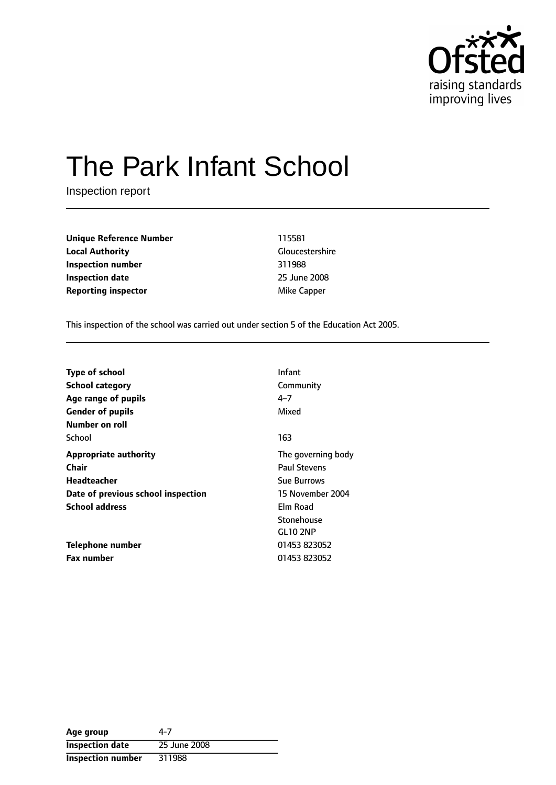

# The Park Infant School

Inspection report

| <b>Unique Reference Number</b> | 115581       |
|--------------------------------|--------------|
| <b>Local Authority</b>         | Gloucestersh |
| Inspection number              | 311988       |
| <b>Inspection date</b>         | 25 June 2008 |
| <b>Reporting inspector</b>     | Mike Capper  |

**Unique Reference Number** 115581 **Gloucestershire Inspection number** 311988 **Inspection date** 25 June 2008

This inspection of the school was carried out under section 5 of the Education Act 2005.

| <b>Type of school</b>              | Infant              |
|------------------------------------|---------------------|
| <b>School category</b>             | Community           |
| Age range of pupils                | 4–7                 |
| <b>Gender of pupils</b>            | Mixed               |
| Number on roll                     |                     |
| School                             | 163                 |
| <b>Appropriate authority</b>       | The governing body  |
| Chair                              | <b>Paul Stevens</b> |
| Headteacher                        | <b>Sue Burrows</b>  |
| Date of previous school inspection | 15 November 2004    |
| <b>School address</b>              | Elm Road            |
|                                    | Stonehouse          |
|                                    | <b>GL10 2NP</b>     |
| Telephone number                   | 01453 823052        |
| <b>Fax number</b>                  | 01453 823052        |

| Age group                | 4-7          |
|--------------------------|--------------|
| <b>Inspection date</b>   | 25 June 2008 |
| <b>Inspection number</b> | 311988       |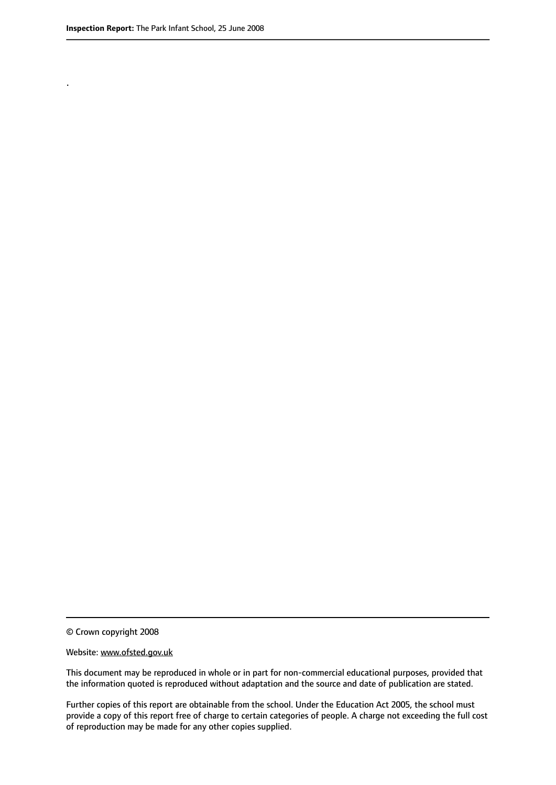.

© Crown copyright 2008

#### Website: www.ofsted.gov.uk

This document may be reproduced in whole or in part for non-commercial educational purposes, provided that the information quoted is reproduced without adaptation and the source and date of publication are stated.

Further copies of this report are obtainable from the school. Under the Education Act 2005, the school must provide a copy of this report free of charge to certain categories of people. A charge not exceeding the full cost of reproduction may be made for any other copies supplied.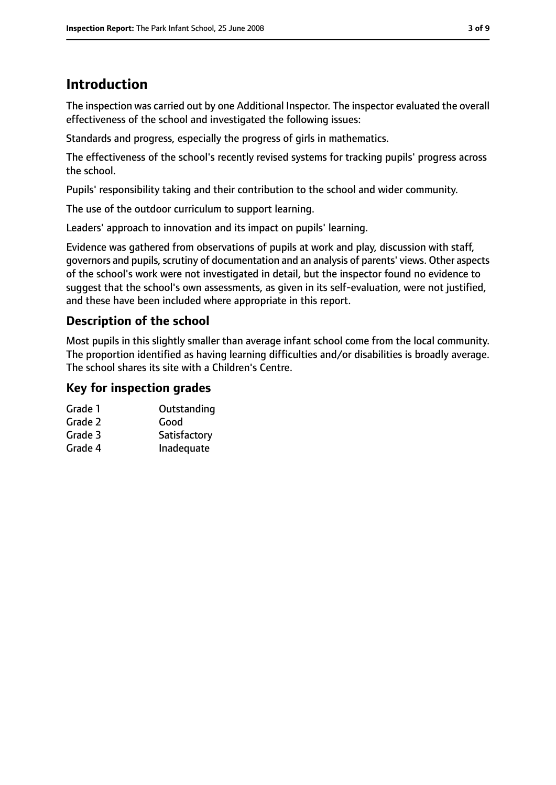# **Introduction**

The inspection was carried out by one Additional Inspector. The inspector evaluated the overall effectiveness of the school and investigated the following issues:

Standards and progress, especially the progress of girls in mathematics.

The effectiveness of the school's recently revised systems for tracking pupils' progress across the school.

Pupils' responsibility taking and their contribution to the school and wider community.

The use of the outdoor curriculum to support learning.

Leaders' approach to innovation and its impact on pupils' learning.

Evidence was gathered from observations of pupils at work and play, discussion with staff, governors and pupils, scrutiny of documentation and an analysis of parents' views. Other aspects of the school's work were not investigated in detail, but the inspector found no evidence to suggest that the school's own assessments, as given in its self-evaluation, were not justified, and these have been included where appropriate in this report.

## **Description of the school**

Most pupils in this slightly smaller than average infant school come from the local community. The proportion identified as having learning difficulties and/or disabilities is broadly average. The school shares its site with a Children's Centre.

#### **Key for inspection grades**

| Grade 1 | Outstanding  |
|---------|--------------|
| Grade 2 | Good         |
| Grade 3 | Satisfactory |
| Grade 4 | Inadequate   |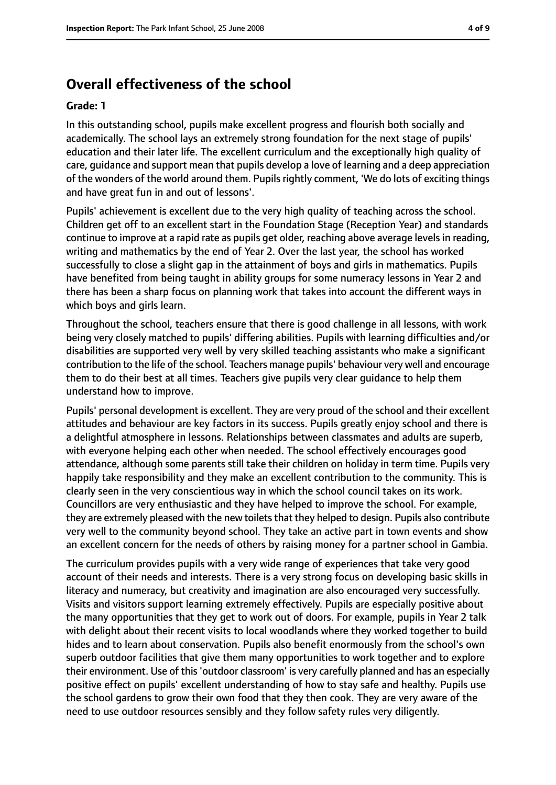## **Overall effectiveness of the school**

#### **Grade: 1**

In this outstanding school, pupils make excellent progress and flourish both socially and academically. The school lays an extremely strong foundation for the next stage of pupils' education and their later life. The excellent curriculum and the exceptionally high quality of care, guidance and support mean that pupils develop a love of learning and a deep appreciation of the wonders of the world around them. Pupils rightly comment, 'We do lots of exciting things and have great fun in and out of lessons'.

Pupils' achievement is excellent due to the very high quality of teaching across the school. Children get off to an excellent start in the Foundation Stage (Reception Year) and standards continue to improve at a rapid rate as pupils get older, reaching above average levelsin reading, writing and mathematics by the end of Year 2. Over the last year, the school has worked successfully to close a slight gap in the attainment of boys and girls in mathematics. Pupils have benefited from being taught in ability groups for some numeracy lessons in Year 2 and there has been a sharp focus on planning work that takes into account the different ways in which boys and girls learn.

Throughout the school, teachers ensure that there is good challenge in all lessons, with work being very closely matched to pupils' differing abilities. Pupils with learning difficulties and/or disabilities are supported very well by very skilled teaching assistants who make a significant contribution to the life of the school. Teachers manage pupils' behaviour very well and encourage them to do their best at all times. Teachers give pupils very clear guidance to help them understand how to improve.

Pupils' personal development is excellent. They are very proud of the school and their excellent attitudes and behaviour are key factors in its success. Pupils greatly enjoy school and there is a delightful atmosphere in lessons. Relationships between classmates and adults are superb, with everyone helping each other when needed. The school effectively encourages good attendance, although some parents still take their children on holiday in term time. Pupils very happily take responsibility and they make an excellent contribution to the community. This is clearly seen in the very conscientious way in which the school council takes on its work. Councillors are very enthusiastic and they have helped to improve the school. For example, they are extremely pleased with the new toilets that they helped to design. Pupils also contribute very well to the community beyond school. They take an active part in town events and show an excellent concern for the needs of others by raising money for a partner school in Gambia.

The curriculum provides pupils with a very wide range of experiences that take very good account of their needs and interests. There is a very strong focus on developing basic skills in literacy and numeracy, but creativity and imagination are also encouraged very successfully. Visits and visitors support learning extremely effectively. Pupils are especially positive about the many opportunities that they get to work out of doors. For example, pupils in Year 2 talk with delight about their recent visits to local woodlands where they worked together to build hides and to learn about conservation. Pupils also benefit enormously from the school's own superb outdoor facilities that give them many opportunities to work together and to explore their environment. Use of this'outdoor classroom' is very carefully planned and has an especially positive effect on pupils' excellent understanding of how to stay safe and healthy. Pupils use the school gardens to grow their own food that they then cook. They are very aware of the need to use outdoor resources sensibly and they follow safety rules very diligently.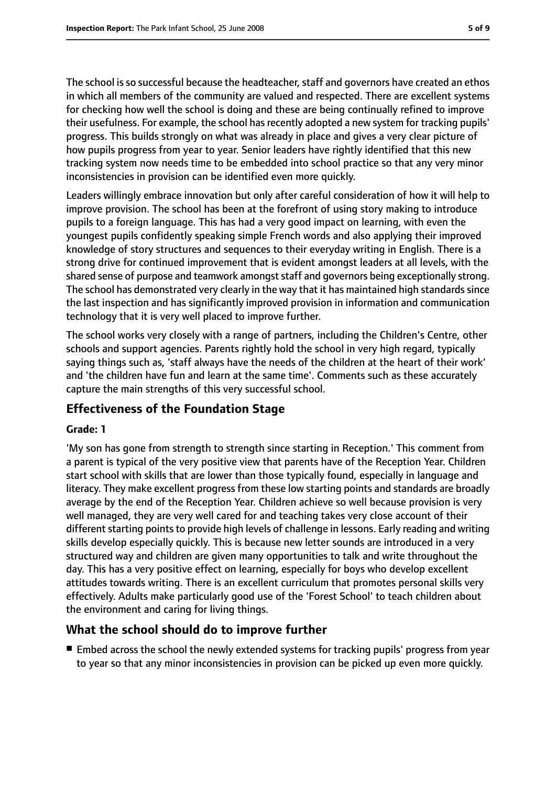The school is so successful because the headteacher, staff and governors have created an ethos in which all members of the community are valued and respected. There are excellent systems for checking how well the school is doing and these are being continually refined to improve their usefulness. For example, the school has recently adopted a new system for tracking pupils' progress. This builds strongly on what was already in place and gives a very clear picture of how pupils progress from year to year. Senior leaders have rightly identified that this new tracking system now needs time to be embedded into school practice so that any very minor inconsistencies in provision can be identified even more quickly.

Leaders willingly embrace innovation but only after careful consideration of how it will help to improve provision. The school has been at the forefront of using story making to introduce pupils to a foreign language. This has had a very good impact on learning, with even the youngest pupils confidently speaking simple French words and also applying their improved knowledge of story structures and sequences to their everyday writing in English. There is a strong drive for continued improvement that is evident amongst leaders at all levels, with the shared sense of purpose and teamwork amongst staff and governors being exceptionally strong. The school has demonstrated very clearly in the way that it has maintained high standards since the last inspection and has significantly improved provision in information and communication technology that it is very well placed to improve further.

The school works very closely with a range of partners, including the Children's Centre, other schools and support agencies. Parents rightly hold the school in very high regard, typically saying things such as, 'staff always have the needs of the children at the heart of their work' and 'the children have fun and learn at the same time'. Comments such as these accurately capture the main strengths of this very successful school.

## **Effectiveness of the Foundation Stage**

#### **Grade: 1**

'My son has gone from strength to strength since starting in Reception.' This comment from a parent is typical of the very positive view that parents have of the Reception Year. Children start school with skills that are lower than those typically found, especially in language and literacy. They make excellent progress from these low starting points and standards are broadly average by the end of the Reception Year. Children achieve so well because provision is very well managed, they are very well cared for and teaching takes very close account of their different starting points to provide high levels of challenge in lessons. Early reading and writing skills develop especially quickly. This is because new letter sounds are introduced in a very structured way and children are given many opportunities to talk and write throughout the day. This has a very positive effect on learning, especially for boys who develop excellent attitudes towards writing. There is an excellent curriculum that promotes personal skills very effectively. Adults make particularly good use of the 'Forest School' to teach children about the environment and caring for living things.

#### **What the school should do to improve further**

■ Embed across the school the newly extended systems for tracking pupils' progress from year to year so that any minor inconsistencies in provision can be picked up even more quickly.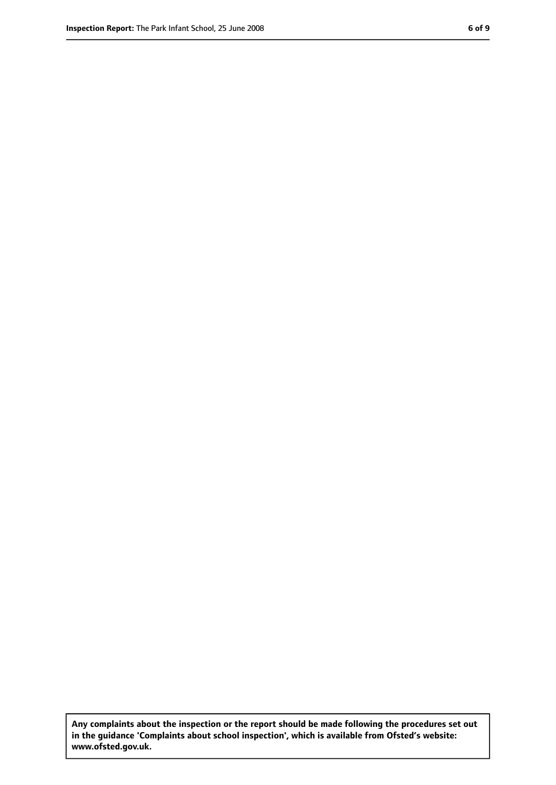**Any complaints about the inspection or the report should be made following the procedures set out in the guidance 'Complaints about school inspection', which is available from Ofsted's website: www.ofsted.gov.uk.**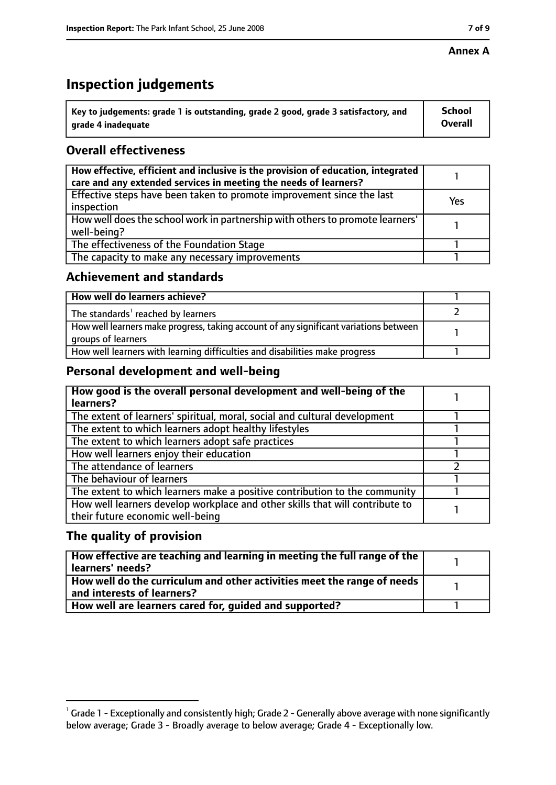#### **Annex A**

# **Inspection judgements**

| $^{\circ}$ Key to judgements: grade 1 is outstanding, grade 2 good, grade 3 satisfactory, and | School         |
|-----------------------------------------------------------------------------------------------|----------------|
| arade 4 inadequate                                                                            | <b>Overall</b> |

## **Overall effectiveness**

| How effective, efficient and inclusive is the provision of education, integrated<br>care and any extended services in meeting the needs of learners? |     |
|------------------------------------------------------------------------------------------------------------------------------------------------------|-----|
| Effective steps have been taken to promote improvement since the last<br>inspection                                                                  | Yes |
| How well does the school work in partnership with others to promote learners'<br>well-being?                                                         |     |
| The effectiveness of the Foundation Stage                                                                                                            |     |
| The capacity to make any necessary improvements                                                                                                      |     |

#### **Achievement and standards**

| How well do learners achieve?                                                                               |  |
|-------------------------------------------------------------------------------------------------------------|--|
| $\mathsf I$ The standards <sup>1</sup> reached by learners                                                  |  |
| How well learners make progress, taking account of any significant variations between<br>groups of learners |  |
| How well learners with learning difficulties and disabilities make progress                                 |  |

## **Personal development and well-being**

| How good is the overall personal development and well-being of the<br>learners?                                  |  |
|------------------------------------------------------------------------------------------------------------------|--|
| The extent of learners' spiritual, moral, social and cultural development                                        |  |
| The extent to which learners adopt healthy lifestyles                                                            |  |
| The extent to which learners adopt safe practices                                                                |  |
| How well learners enjoy their education                                                                          |  |
| The attendance of learners                                                                                       |  |
| The behaviour of learners                                                                                        |  |
| The extent to which learners make a positive contribution to the community                                       |  |
| How well learners develop workplace and other skills that will contribute to<br>their future economic well-being |  |

## **The quality of provision**

| How effective are teaching and learning in meeting the full range of the<br>learners' needs?                        |  |
|---------------------------------------------------------------------------------------------------------------------|--|
| $\mid$ How well do the curriculum and other activities meet the range of needs $\mid$<br>and interests of learners? |  |
| How well are learners cared for, quided and supported?                                                              |  |

 $^1$  Grade 1 - Exceptionally and consistently high; Grade 2 - Generally above average with none significantly below average; Grade 3 - Broadly average to below average; Grade 4 - Exceptionally low.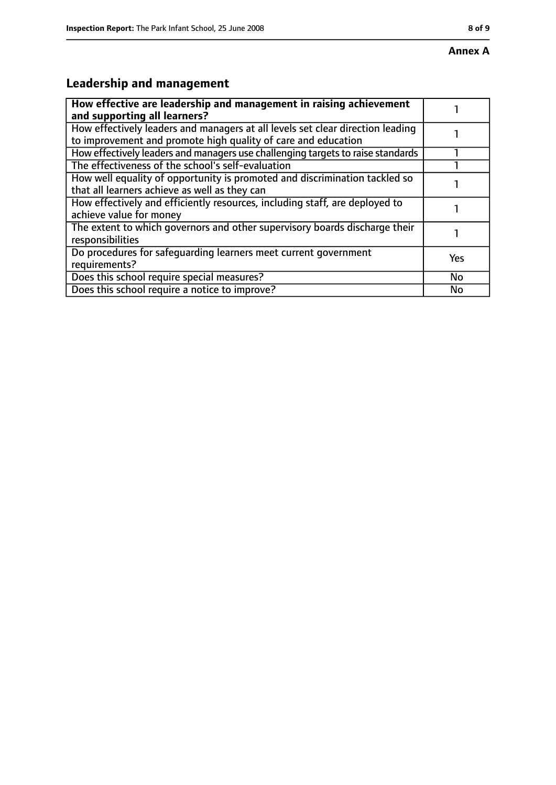# **Leadership and management**

| How effective are leadership and management in raising achievement<br>and supporting all learners?                                              |     |
|-------------------------------------------------------------------------------------------------------------------------------------------------|-----|
| How effectively leaders and managers at all levels set clear direction leading<br>to improvement and promote high quality of care and education |     |
| How effectively leaders and managers use challenging targets to raise standards                                                                 |     |
| The effectiveness of the school's self-evaluation                                                                                               |     |
| How well equality of opportunity is promoted and discrimination tackled so<br>that all learners achieve as well as they can                     |     |
| How effectively and efficiently resources, including staff, are deployed to<br>achieve value for money                                          |     |
| The extent to which governors and other supervisory boards discharge their<br>responsibilities                                                  |     |
| Do procedures for safequarding learners meet current government<br>requirements?                                                                | Yes |
| Does this school require special measures?                                                                                                      | No  |
| Does this school require a notice to improve?                                                                                                   | No  |